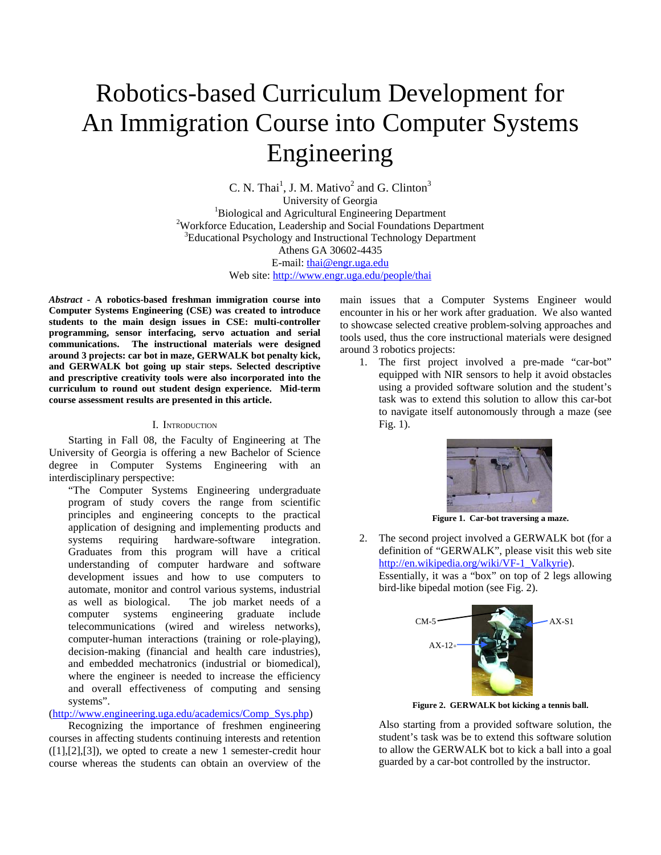# Robotics-based Curriculum Development for An Immigration Course into Computer Systems Engineering

C. N. Thai<sup>1</sup>, J. M. Mativo<sup>2</sup> and G. Clinton<sup>3</sup> University of Georgia <sup>1</sup>Biological and Agricultural Engineering Department<br><sup>2</sup>Workforce Education, Leadership and Social Equalations Dep <sup>2</sup>Workforce Education, Leadership and Social Foundations Department <sup>3</sup>Educational Psychology and Instructional Technology Department Athens GA 30602-4435 E-mail: thai@engr.uga.edu Web site: http://www.engr.uga.edu/people/thai

*Abstract -* **A robotics-based freshman immigration course into Computer Systems Engineering (CSE) was created to introduce students to the main design issues in CSE: multi-controller programming, sensor interfacing, servo actuation and serial communications. The instructional materials were designed around 3 projects: car bot in maze, GERWALK bot penalty kick, and GERWALK bot going up stair steps. Selected descriptive and prescriptive creativity tools were also incorporated into the curriculum to round out student design experience. Mid-term course assessment results are presented in this article.**

### I. INTRODUCTION

 Starting in Fall 08, the Faculty of Engineering at The University of Georgia is offering a new Bachelor of Science degree in Computer Systems Engineering with an interdisciplinary perspective:

"The Computer Systems Engineering undergraduate program of study covers the range from scientific principles and engineering concepts to the practical application of designing and implementing products and systems requiring hardware-software integration. Graduates from this program will have a critical understanding of computer hardware and software development issues and how to use computers to automate, monitor and control various systems, industrial as well as biological. The job market needs of a computer systems engineering graduate include telecommunications (wired and wireless networks), computer-human interactions (training or role-playing), decision-making (financial and health care industries), and embedded mechatronics (industrial or biomedical), where the engineer is needed to increase the efficiency and overall effectiveness of computing and sensing systems".

# (http://www.engineering.uga.edu/academics/Comp\_Sys.php)

 Recognizing the importance of freshmen engineering courses in affecting students continuing interests and retention  $([1],[2],[3])$ , we opted to create a new 1 semester-credit hour course whereas the students can obtain an overview of the

main issues that a Computer Systems Engineer would encounter in his or her work after graduation. We also wanted to showcase selected creative problem-solving approaches and tools used, thus the core instructional materials were designed around 3 robotics projects:

1. The first project involved a pre-made "car-bot" equipped with NIR sensors to help it avoid obstacles using a provided software solution and the student's task was to extend this solution to allow this car-bot to navigate itself autonomously through a maze (see Fig. 1).



**Figure 1. Car-bot traversing a maze.**

2. The second project involved a GERWALK bot (for a definition of "GERWALK", please visit this web site http://en.wikipedia.org/wiki/VF-1\_Valkyrie). Essentially, it was a "box" on top of 2 legs allowing bird-like bipedal motion (see Fig. 2).



**Figure 2. GERWALK bot kicking a tennis ball.**

Also starting from a provided software solution, the student's task was be to extend this software solution to allow the GERWALK bot to kick a ball into a goal guarded by a car-bot controlled by the instructor.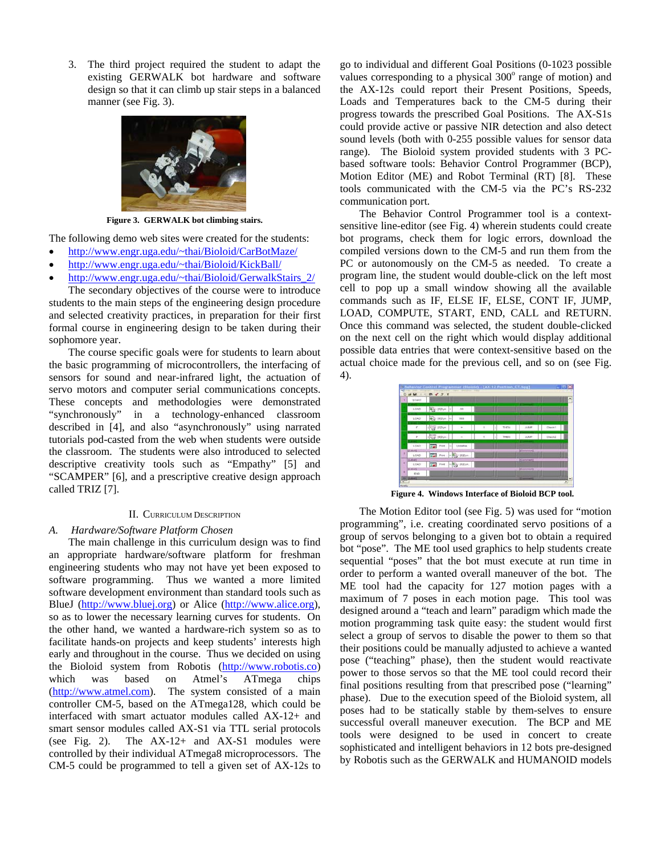3. The third project required the student to adapt the existing GERWALK bot hardware and software design so that it can climb up stair steps in a balanced manner (see Fig. 3).



**Figure 3. GERWALK bot climbing stairs.**

The following demo web sites were created for the students:

- http://www.engr.uga.edu/~thai/Bioloid/CarBotMaze/
- http://www.engr.uga.edu/~thai/Bioloid/KickBall/
- http://www.engr.uga.edu/~thai/Bioloid/GerwalkStairs 2/

 The secondary objectives of the course were to introduce students to the main steps of the engineering design procedure and selected creativity practices, in preparation for their first formal course in engineering design to be taken during their sophomore year.

 The course specific goals were for students to learn about the basic programming of microcontrollers, the interfacing of sensors for sound and near-infrared light, the actuation of servo motors and computer serial communications concepts. These concepts and methodologies were demonstrated "synchronously" in a technology-enhanced classroom described in [4], and also "asynchronously" using narrated tutorials pod-casted from the web when students were outside the classroom. The students were also introduced to selected descriptive creativity tools such as "Empathy" [5] and "SCAMPER" [6], and a prescriptive creative design approach called TRIZ [7].

#### II. CURRICULUM DESCRIPTION

## *A. Hardware/Software Platform Chosen*

 The main challenge in this curriculum design was to find an appropriate hardware/software platform for freshman engineering students who may not have yet been exposed to software programming. Thus we wanted a more limited software development environment than standard tools such as BlueJ (http://www.bluej.org) or Alice (http://www.alice.org), so as to lower the necessary learning curves for students. On the other hand, we wanted a hardware-rich system so as to facilitate hands-on projects and keep students' interests high early and throughout in the course. Thus we decided on using the Bioloid system from Robotis (http://www.robotis.co) which was based on Atmel's ATmega chips (http://www.atmel.com). The system consisted of a main controller CM-5, based on the ATmega128, which could be interfaced with smart actuator modules called AX-12+ and smart sensor modules called AX-S1 via TTL serial protocols (see Fig. 2). The AX-12+ and AX-S1 modules were controlled by their individual ATmega8 microprocessors. The CM-5 could be programmed to tell a given set of AX-12s to

go to individual and different Goal Positions (0-1023 possible values corresponding to a physical  $300^\circ$  range of motion) and the AX-12s could report their Present Positions, Speeds, Loads and Temperatures back to the CM-5 during their progress towards the prescribed Goal Positions. The AX-S1s could provide active or passive NIR detection and also detect sound levels (both with 0-255 possible values for sensor data range). The Bioloid system provided students with 3 PCbased software tools: Behavior Control Programmer (BCP), Motion Editor (ME) and Robot Terminal (RT) [8]. These tools communicated with the CM-5 via the PC's RS-232 communication port.

 The Behavior Control Programmer tool is a contextsensitive line-editor (see Fig. 4) wherein students could create bot programs, check them for logic errors, download the compiled versions down to the CM-5 and run them from the PC or autonomously on the CM-5 as needed. To create a program line, the student would double-click on the left most cell to pop up a small window showing all the available commands such as IF, ELSE IF, ELSE, CONT IF, JUMP, LOAD, COMPUTE, START, END, CALL and RETURN. Once this command was selected, the student double-clicked on the next cell on the right which would display additional possible data entries that were context-sensitive based on the actual choice made for the previous cell, and so on (see Fig. 4).

|              |                        | <b>Behavior Control Fregrammer (Bioloid) - [AX-12 Feattion_CT.bpg]</b> | ---               | 1944          |   |        |                   |           | LEX |
|--------------|------------------------|------------------------------------------------------------------------|-------------------|---------------|---|--------|-------------------|-----------|-----|
| 'n           | $\omega$               | <b>B</b> V J Y                                                         |                   |               |   |        |                   |           |     |
|              | <b>STAFF</b>           |                                                                        |                   |               |   |        |                   |           |     |
|              | LOAD                   | $R_0$ integral as                                                      |                   |               |   |        |                   |           |     |
|              | LOAD                   | <b>REP HIDE -</b>                                                      | $-$ 258           |               |   |        |                   |           |     |
|              | $\sigma$               | Chapter Highway                                                        | $\sim$            | ¥             | ы | T14T34 | <b>JULIE</b>      | Clearer 1 |     |
|              | ×.                     | <b>CONTINUES INC.</b>                                                  |                   | $\mathcal{A}$ |   | 194010 | <b>JUNE</b>       | Climate2  |     |
|              | LOAD                   | Paint (4)<br><b>By</b>                                                 | <b>Limitation</b> |               |   |        | <b>Commercial</b> |           |     |
| ×            | [S.phel]<br>LOAD       | The Post in May 1990-                                                  |                   |               |   |        |                   |           |     |
| ٠            | <b>U.Aball</b><br>LOAD | <b>CAR FOR INCORPORATION</b>                                           |                   |               |   |        | <b>ICammada</b>   |           |     |
| ٠            | <b>Simula</b><br>eses. |                                                                        |                   |               |   |        | (Community)       |           |     |
|              | <b>ANTI BENNING</b>    |                                                                        |                   |               |   |        | <b>Harry Ave</b>  |           | ×   |
| <b>Keady</b> |                        |                                                                        |                   |               |   |        |                   |           |     |

**Figure 4. Windows Interface of Bioloid BCP tool.**

 The Motion Editor tool (see Fig. 5) was used for "motion programming", i.e. creating coordinated servo positions of a group of servos belonging to a given bot to obtain a required bot "pose". The ME tool used graphics to help students create sequential "poses" that the bot must execute at run time in order to perform a wanted overall maneuver of the bot. The ME tool had the capacity for 127 motion pages with a maximum of 7 poses in each motion page. This tool was designed around a "teach and learn" paradigm which made the motion programming task quite easy: the student would first select a group of servos to disable the power to them so that their positions could be manually adjusted to achieve a wanted pose ("teaching" phase), then the student would reactivate power to those servos so that the ME tool could record their final positions resulting from that prescribed pose ("learning" phase). Due to the execution speed of the Bioloid system, all poses had to be statically stable by them-selves to ensure successful overall maneuver execution. The BCP and ME tools were designed to be used in concert to create sophisticated and intelligent behaviors in 12 bots pre-designed by Robotis such as the GERWALK and HUMANOID models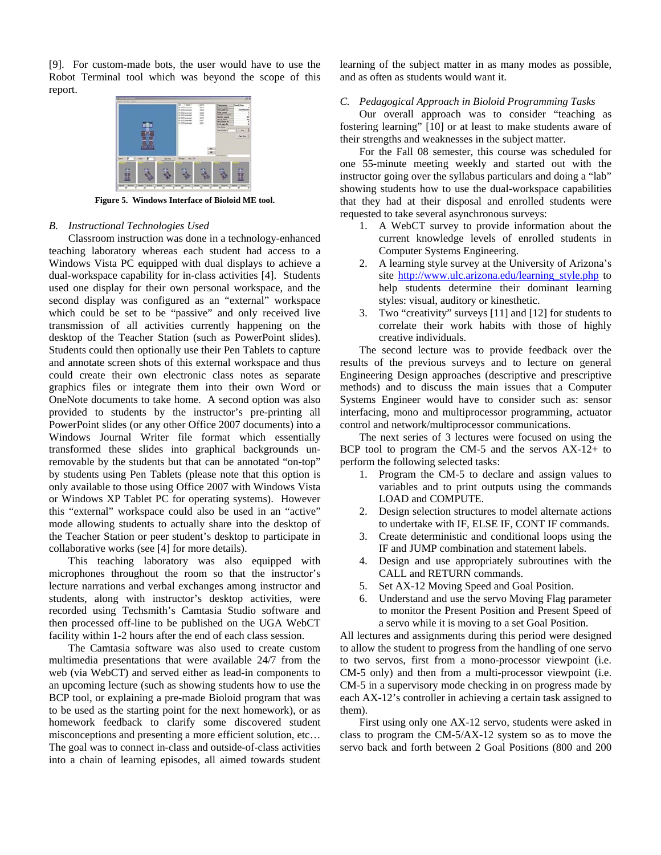[9]. For custom-made bots, the user would have to use the Robot Terminal tool which was beyond the scope of this report.



**Figure 5. Windows Interface of Bioloid ME tool.**

#### *B. Instructional Technologies Used*

 Classroom instruction was done in a technology-enhanced teaching laboratory whereas each student had access to a Windows Vista PC equipped with dual displays to achieve a dual-workspace capability for in-class activities [4]. Students used one display for their own personal workspace, and the second display was configured as an "external" workspace which could be set to be "passive" and only received live transmission of all activities currently happening on the desktop of the Teacher Station (such as PowerPoint slides). Students could then optionally use their Pen Tablets to capture and annotate screen shots of this external workspace and thus could create their own electronic class notes as separate graphics files or integrate them into their own Word or OneNote documents to take home. A second option was also provided to students by the instructor's pre-printing all PowerPoint slides (or any other Office 2007 documents) into a Windows Journal Writer file format which essentially transformed these slides into graphical backgrounds unremovable by the students but that can be annotated "on-top" by students using Pen Tablets (please note that this option is only available to those using Office 2007 with Windows Vista or Windows XP Tablet PC for operating systems). However this "external" workspace could also be used in an "active" mode allowing students to actually share into the desktop of the Teacher Station or peer student's desktop to participate in collaborative works (see [4] for more details).

 This teaching laboratory was also equipped with microphones throughout the room so that the instructor's lecture narrations and verbal exchanges among instructor and students, along with instructor's desktop activities, were recorded using Techsmith's Camtasia Studio software and then processed off-line to be published on the UGA WebCT facility within 1-2 hours after the end of each class session.

 The Camtasia software was also used to create custom multimedia presentations that were available 24/7 from the web (via WebCT) and served either as lead-in components to an upcoming lecture (such as showing students how to use the BCP tool, or explaining a pre-made Bioloid program that was to be used as the starting point for the next homework), or as homework feedback to clarify some discovered student misconceptions and presenting a more efficient solution, etc… The goal was to connect in-class and outside-of-class activities into a chain of learning episodes, all aimed towards student

learning of the subject matter in as many modes as possible, and as often as students would want it.

### *C. Pedagogical Approach in Bioloid Programming Tasks*

 Our overall approach was to consider "teaching as fostering learning" [10] or at least to make students aware of their strengths and weaknesses in the subject matter.

 For the Fall 08 semester, this course was scheduled for one 55-minute meeting weekly and started out with the instructor going over the syllabus particulars and doing a "lab" showing students how to use the dual-workspace capabilities that they had at their disposal and enrolled students were requested to take several asynchronous surveys:

- 1. A WebCT survey to provide information about the current knowledge levels of enrolled students in Computer Systems Engineering.
- 2. A learning style survey at the University of Arizona's site http://www.ulc.arizona.edu/learning\_style.php to help students determine their dominant learning styles: visual, auditory or kinesthetic.
- Two "creativity" surveys [11] and [12] for students to correlate their work habits with those of highly creative individuals.

 The second lecture was to provide feedback over the results of the previous surveys and to lecture on general Engineering Design approaches (descriptive and prescriptive methods) and to discuss the main issues that a Computer Systems Engineer would have to consider such as: sensor interfacing, mono and multiprocessor programming, actuator control and network/multiprocessor communications.

 The next series of 3 lectures were focused on using the BCP tool to program the CM-5 and the servos AX-12+ to perform the following selected tasks:

- 1. Program the CM-5 to declare and assign values to variables and to print outputs using the commands LOAD and COMPUTE.
- 2. Design selection structures to model alternate actions to undertake with IF, ELSE IF, CONT IF commands.
- 3. Create deterministic and conditional loops using the IF and JUMP combination and statement labels.
- 4. Design and use appropriately subroutines with the CALL and RETURN commands.
- 5. Set AX-12 Moving Speed and Goal Position.
- 6. Understand and use the servo Moving Flag parameter to monitor the Present Position and Present Speed of a servo while it is moving to a set Goal Position.

All lectures and assignments during this period were designed to allow the student to progress from the handling of one servo to two servos, first from a mono-processor viewpoint (i.e. CM-5 only) and then from a multi-processor viewpoint (i.e. CM-5 in a supervisory mode checking in on progress made by each AX-12's controller in achieving a certain task assigned to them).

 First using only one AX-12 servo, students were asked in class to program the CM-5/AX-12 system so as to move the servo back and forth between 2 Goal Positions (800 and 200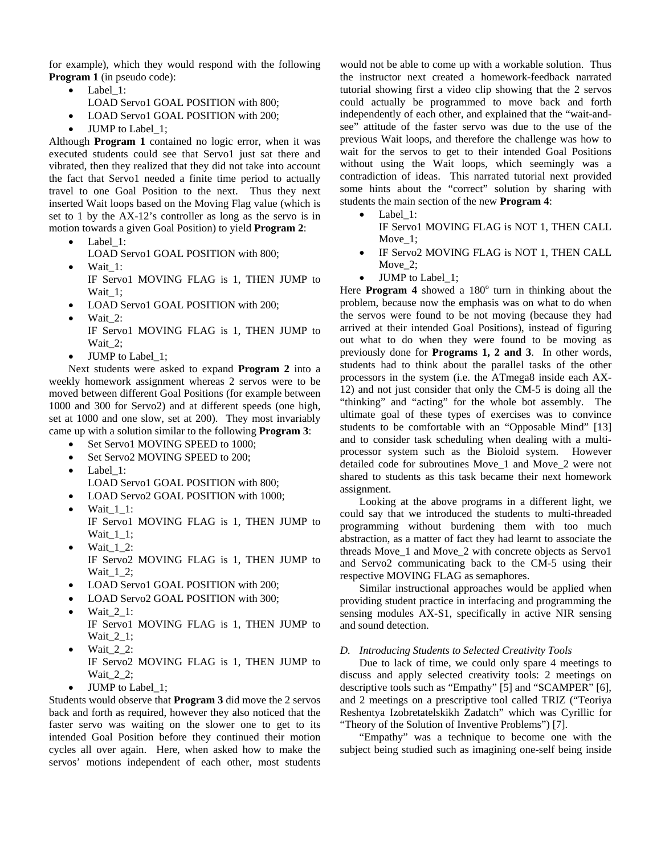for example), which they would respond with the following **Program 1** (in pseudo code):

- Label 1:
- LOAD Servo1 GOAL POSITION with 800;
- LOAD Servo1 GOAL POSITION with 200;
- JUMP to Label 1;

Although **Program 1** contained no logic error, when it was executed students could see that Servo1 just sat there and vibrated, then they realized that they did not take into account the fact that Servo1 needed a finite time period to actually travel to one Goal Position to the next. Thus they next inserted Wait loops based on the Moving Flag value (which is set to 1 by the AX-12's controller as long as the servo is in motion towards a given Goal Position) to yield **Program 2**:

- Label 1: LOAD Servo1 GOAL POSITION with 800;
- Wait\_1: IF Servo1 MOVING FLAG is 1, THEN JUMP to Wait 1;
- LOAD Servo1 GOAL POSITION with 200;
- Wait 2: IF Servo1 MOVING FLAG is 1, THEN JUMP to Wait 2;
- JUMP to Label\_1;

 Next students were asked to expand **Program 2** into a weekly homework assignment whereas 2 servos were to be moved between different Goal Positions (for example between 1000 and 300 for Servo2) and at different speeds (one high, set at 1000 and one slow, set at 200). They most invariably came up with a solution similar to the following **Program 3**:

- Set Servo1 MOVING SPEED to 1000;
- Set Servo2 MOVING SPEED to 200;
- Label 1:

LOAD Servo1 GOAL POSITION with 800;

- LOAD Servo2 GOAL POSITION with 1000;
- Wait 1 1: IF Servo1 MOVING FLAG is 1, THEN JUMP to
- Wait $\_1$ <sub>-1;</sub> Wait $_1_2$ : IF Servo2 MOVING FLAG is 1, THEN JUMP to Wait 1 2:
- LOAD Servo1 GOAL POSITION with 200;
- LOAD Servo2 GOAL POSITION with 300;
- Wait 2 1: IF Servo1 MOVING FLAG is 1, THEN JUMP to Wait $_2$ <sub>1;</sub>
- Wait 2 2: IF Servo2 MOVING FLAG is 1, THEN JUMP to Wait 2 2;
- JUMP to Label\_1;

Students would observe that **Program 3** did move the 2 servos back and forth as required, however they also noticed that the faster servo was waiting on the slower one to get to its intended Goal Position before they continued their motion cycles all over again. Here, when asked how to make the servos' motions independent of each other, most students

would not be able to come up with a workable solution. Thus the instructor next created a homework-feedback narrated tutorial showing first a video clip showing that the 2 servos could actually be programmed to move back and forth independently of each other, and explained that the "wait-andsee" attitude of the faster servo was due to the use of the previous Wait loops, and therefore the challenge was how to wait for the servos to get to their intended Goal Positions without using the Wait loops, which seemingly was a contradiction of ideas. This narrated tutorial next provided some hints about the "correct" solution by sharing with students the main section of the new **Program 4**:

- Label 1:
	- IF Servo1 MOVING FLAG is NOT 1, THEN CALL Move 1;
- IF Servo2 MOVING FLAG is NOT 1, THEN CALL Move 2:
- JUMP to Label 1;

Here **Program 4** showed a 180<sup>°</sup> turn in thinking about the problem, because now the emphasis was on what to do when the servos were found to be not moving (because they had arrived at their intended Goal Positions), instead of figuring out what to do when they were found to be moving as previously done for **Programs 1, 2 and 3**. In other words, students had to think about the parallel tasks of the other processors in the system (i.e. the ATmega8 inside each AX-12) and not just consider that only the CM-5 is doing all the "thinking" and "acting" for the whole bot assembly. The ultimate goal of these types of exercises was to convince students to be comfortable with an "Opposable Mind" [13] and to consider task scheduling when dealing with a multiprocessor system such as the Bioloid system. However detailed code for subroutines Move\_1 and Move\_2 were not shared to students as this task became their next homework assignment.

 Looking at the above programs in a different light, we could say that we introduced the students to multi-threaded programming without burdening them with too much abstraction, as a matter of fact they had learnt to associate the threads Move\_1 and Move\_2 with concrete objects as Servo1 and Servo2 communicating back to the CM-5 using their respective MOVING FLAG as semaphores.

 Similar instructional approaches would be applied when providing student practice in interfacing and programming the sensing modules AX-S1, specifically in active NIR sensing and sound detection.

## *D. Introducing Students to Selected Creativity Tools*

 Due to lack of time, we could only spare 4 meetings to discuss and apply selected creativity tools: 2 meetings on descriptive tools such as "Empathy" [5] and "SCAMPER" [6], and 2 meetings on a prescriptive tool called TRIZ ("Teoriya Reshentya Izobretatelskikh Zadatch" which was Cyrillic for "Theory of the Solution of Inventive Problems") [7].

 "Empathy" was a technique to become one with the subject being studied such as imagining one-self being inside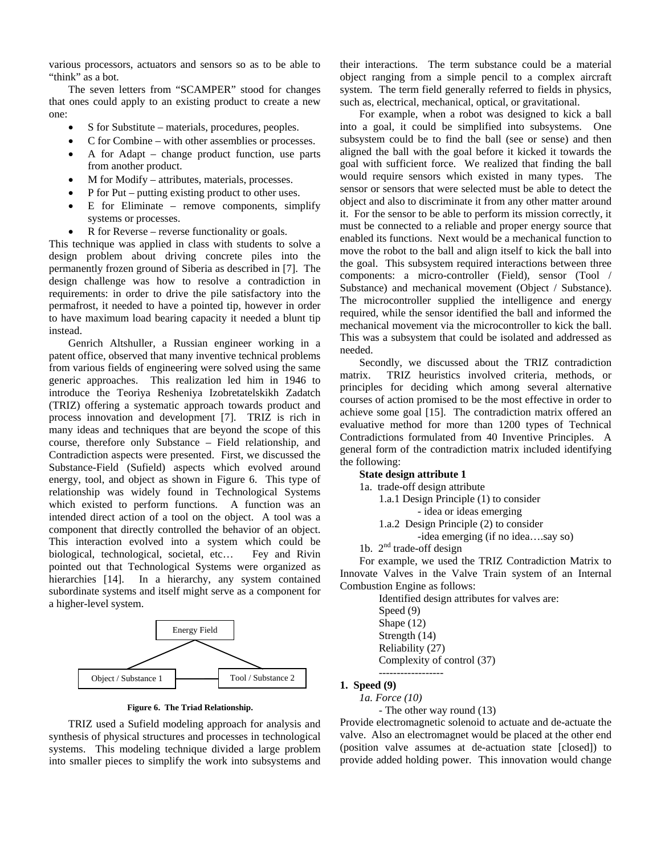various processors, actuators and sensors so as to be able to "think" as a bot.

 The seven letters from "SCAMPER" stood for changes that ones could apply to an existing product to create a new one:

- S for Substitute materials, procedures, peoples.
- C for Combine with other assemblies or processes.
- A for Adapt change product function, use parts from another product.
- M for Modify attributes, materials, processes.
- P for Put putting existing product to other uses.
- $E$  for Eliminate remove components, simplify systems or processes.
- R for Reverse reverse functionality or goals.

This technique was applied in class with students to solve a design problem about driving concrete piles into the permanently frozen ground of Siberia as described in [7]. The design challenge was how to resolve a contradiction in requirements: in order to drive the pile satisfactory into the permafrost, it needed to have a pointed tip, however in order to have maximum load bearing capacity it needed a blunt tip instead.

 Genrich Altshuller, a Russian engineer working in a patent office, observed that many inventive technical problems from various fields of engineering were solved using the same generic approaches. This realization led him in 1946 to introduce the Teoriya Resheniya Izobretatelskikh Zadatch (TRIZ) offering a systematic approach towards product and process innovation and development [7]. TRIZ is rich in many ideas and techniques that are beyond the scope of this course, therefore only Substance – Field relationship, and Contradiction aspects were presented. First, we discussed the Substance-Field (Sufield) aspects which evolved around energy, tool, and object as shown in Figure 6. This type of relationship was widely found in Technological Systems which existed to perform functions. A function was an intended direct action of a tool on the object. A tool was a component that directly controlled the behavior of an object. This interaction evolved into a system which could be biological, technological, societal, etc… Fey and Rivin pointed out that Technological Systems were organized as hierarchies [14]. In a hierarchy, any system contained subordinate systems and itself might serve as a component for a higher-level system.



**Figure 6. The Triad Relationship.**

 TRIZ used a Sufield modeling approach for analysis and synthesis of physical structures and processes in technological systems. This modeling technique divided a large problem into smaller pieces to simplify the work into subsystems and

their interactions. The term substance could be a material object ranging from a simple pencil to a complex aircraft system. The term field generally referred to fields in physics, such as, electrical, mechanical, optical, or gravitational.

 For example, when a robot was designed to kick a ball into a goal, it could be simplified into subsystems. One subsystem could be to find the ball (see or sense) and then aligned the ball with the goal before it kicked it towards the goal with sufficient force. We realized that finding the ball would require sensors which existed in many types. The sensor or sensors that were selected must be able to detect the object and also to discriminate it from any other matter around it. For the sensor to be able to perform its mission correctly, it must be connected to a reliable and proper energy source that enabled its functions. Next would be a mechanical function to move the robot to the ball and align itself to kick the ball into the goal. This subsystem required interactions between three components: a micro-controller (Field), sensor (Tool / Substance) and mechanical movement (Object / Substance). The microcontroller supplied the intelligence and energy required, while the sensor identified the ball and informed the mechanical movement via the microcontroller to kick the ball. This was a subsystem that could be isolated and addressed as needed.

 Secondly, we discussed about the TRIZ contradiction matrix. TRIZ heuristics involved criteria, methods, or principles for deciding which among several alternative courses of action promised to be the most effective in order to achieve some goal [15]. The contradiction matrix offered an evaluative method for more than 1200 types of Technical Contradictions formulated from 40 Inventive Principles. A general form of the contradiction matrix included identifying the following:

## **State design attribute 1**

1a. trade-off design attribute

1.a.1 Design Principle (1) to consider

- idea or ideas emerging

1.a.2 Design Principle (2) to consider

-idea emerging (if no idea….say so)

1b.  $2<sup>nd</sup>$  trade-off design

 For example, we used the TRIZ Contradiction Matrix to Innovate Valves in the Valve Train system of an Internal Combustion Engine as follows:

Identified design attributes for valves are:

Speed (9) Shape (12) Strength (14) Reliability (27) Complexity of control (37) ------------------

#### **1. Speed (9)**

*1a. Force (10)* 

- The other way round (13)

Provide electromagnetic solenoid to actuate and de-actuate the valve. Also an electromagnet would be placed at the other end (position valve assumes at de-actuation state [closed]) to provide added holding power. This innovation would change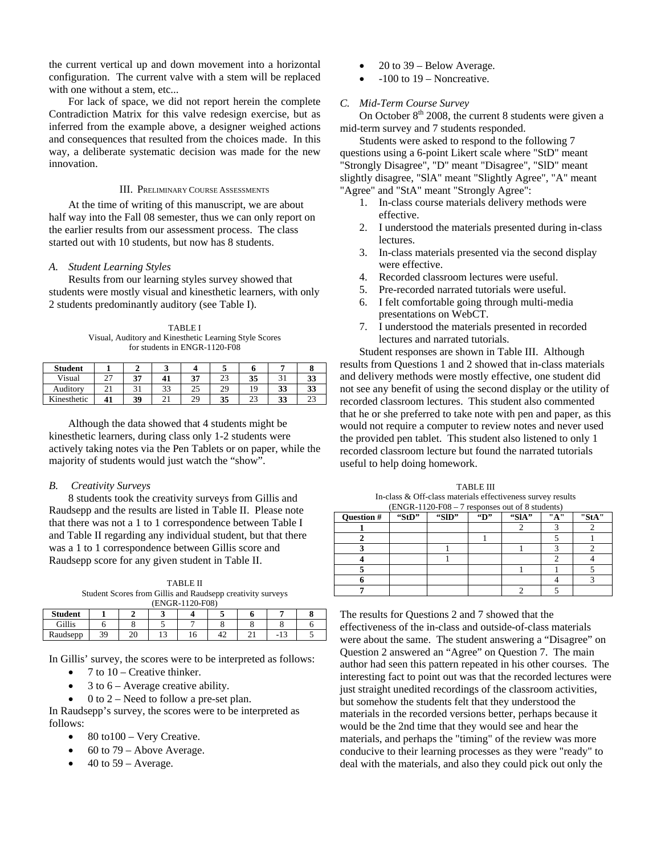the current vertical up and down movement into a horizontal configuration. The current valve with a stem will be replaced with one without a stem, etc...

For lack of space, we did not report herein the complete Contradiction Matrix for this valve redesign exercise, but as inferred from the example above, a designer weighed actions and consequences that resulted from the choices made. In this way, a deliberate systematic decision was made for the new innovation.

## III. PRELIMINARY COURSE ASSESSMENTS

 At the time of writing of this manuscript, we are about half way into the Fall 08 semester, thus we can only report on the earlier results from our assessment process. The class started out with 10 students, but now has 8 students.

## *A. Student Learning Styles*

 Results from our learning styles survey showed that students were mostly visual and kinesthetic learners, with only 2 students predominantly auditory (see Table I).

TABLE I Visual, Auditory and Kinesthetic Learning Style Scores for students in ENGR-1120-F08

| <b>Student</b> |    |        | ັ  |    |           | o   |    |    |
|----------------|----|--------|----|----|-----------|-----|----|----|
| Visual         |    | 37     | 41 | 37 | າາ<br>ر ے | 35  |    | 33 |
| Auditorv       |    | $\sim$ | 33 | 25 | 29        | 19  | 33 | 33 |
| Kinesthetic    | 41 | 39     | ∠⊥ | 29 | 35        | ل ک | 33 |    |

 Although the data showed that 4 students might be kinesthetic learners, during class only 1-2 students were actively taking notes via the Pen Tablets or on paper, while the majority of students would just watch the "show".

## *B. Creativity Surveys*

 8 students took the creativity surveys from Gillis and Raudsepp and the results are listed in Table II. Please note that there was not a 1 to 1 correspondence between Table I and Table II regarding any individual student, but that there was a 1 to 1 correspondence between Gillis score and Raudsepp score for any given student in Table II.

TABLE II Student Scores from Gillis and Raudsepp creativity surveys (ENGR-1120-F08)

| (EINUK-1120-FU0) |    |  |  |  |    |  |     |  |  |
|------------------|----|--|--|--|----|--|-----|--|--|
| <b>Student</b>   |    |  |  |  |    |  |     |  |  |
| Gillis           |    |  |  |  |    |  |     |  |  |
| Raudsepp         | 30 |  |  |  | 44 |  | -15 |  |  |

In Gillis' survey, the scores were to be interpreted as follows:

- 7 to  $10$  Creative thinker.
- 3 to  $6$  Average creative ability.
- 0 to 2 Need to follow a pre-set plan.

In Raudsepp's survey, the scores were to be interpreted as follows:

- 80 to100 Very Creative.
- $60$  to  $79$  Above Average.
- 40 to  $59 -$  Average.
- $20$  to  $39$  Below Average.
- -100 to 19 Noncreative.

## *C. Mid-Term Course Survey*

On October  $8<sup>th</sup>$  2008, the current 8 students were given a mid-term survey and 7 students responded.

Students were asked to respond to the following 7 questions using a 6-point Likert scale where "StD" meant "Strongly Disagree", "D" meant "Disagree", "SlD" meant slightly disagree, "SlA" meant "Slightly Agree", "A" meant "Agree" and "StA" meant "Strongly Agree":

- 1. In-class course materials delivery methods were effective.
- 2. I understood the materials presented during in-class lectures.
- 3. In-class materials presented via the second display were effective.
- 4. Recorded classroom lectures were useful.
- 5. Pre-recorded narrated tutorials were useful.
- 6. I felt comfortable going through multi-media presentations on WebCT.
- 7. I understood the materials presented in recorded lectures and narrated tutorials.

Student responses are shown in Table III. Although results from Questions 1 and 2 showed that in-class materials and delivery methods were mostly effective, one student did not see any benefit of using the second display or the utility of recorded classroom lectures. This student also commented that he or she preferred to take note with pen and paper, as this would not require a computer to review notes and never used the provided pen tablet. This student also listened to only 1 recorded classroom lecture but found the narrated tutorials useful to help doing homework.

TABLE III In-class & Off-class materials effectiveness survey results (ENGR-1120-F08 – 7 responses out of 8 students)

| Question # | "StD" | "SID" | $\mathbf{G}$ | "SIA" | "A" | "StA" |
|------------|-------|-------|--------------|-------|-----|-------|
|            |       |       |              |       |     |       |
|            |       |       |              |       |     |       |
|            |       |       |              |       |     |       |
|            |       |       |              |       |     |       |
|            |       |       |              |       |     |       |
|            |       |       |              |       |     |       |
|            |       |       |              |       |     |       |

The results for Questions 2 and 7 showed that the effectiveness of the in-class and outside-of-class materials were about the same. The student answering a "Disagree" on Question 2 answered an "Agree" on Question 7. The main author had seen this pattern repeated in his other courses. The interesting fact to point out was that the recorded lectures were just straight unedited recordings of the classroom activities, but somehow the students felt that they understood the materials in the recorded versions better, perhaps because it would be the 2nd time that they would see and hear the materials, and perhaps the "timing" of the review was more conducive to their learning processes as they were "ready" to deal with the materials, and also they could pick out only the